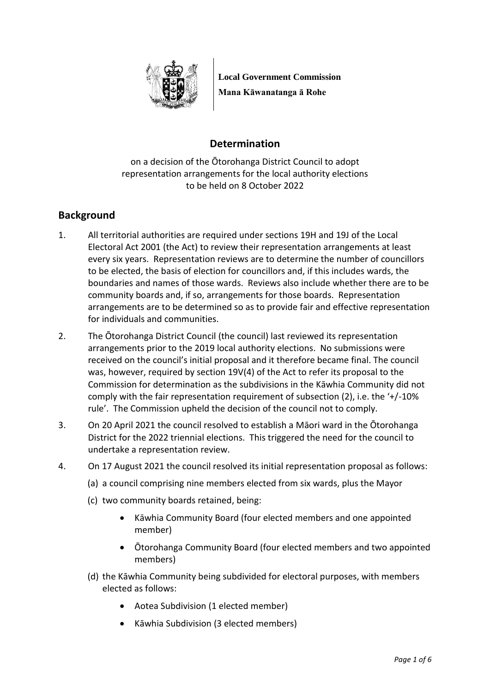

**Local Government Commission Mana Kāwanatanga ā Rohe**

# **Determination**

on a decision of the Ōtorohanga District Council to adopt representation arrangements for the local authority elections to be held on 8 October 2022

# **Background**

- 1. All territorial authorities are required under sections 19H and 19J of the Local Electoral Act 2001 (the Act) to review their representation arrangements at least every six years. Representation reviews are to determine the number of councillors to be elected, the basis of election for councillors and, if this includes wards, the boundaries and names of those wards. Reviews also include whether there are to be community boards and, if so, arrangements for those boards. Representation arrangements are to be determined so as to provide fair and effective representation for individuals and communities.
- 2. The Ōtorohanga District Council (the council) last reviewed its representation arrangements prior to the 2019 local authority elections. No submissions were received on the council's initial proposal and it therefore became final. The council was, however, required by section 19V(4) of the Act to refer its proposal to the Commission for determination as the subdivisions in the Kāwhia Community did not comply with the fair representation requirement of subsection (2), i.e. the '+/-10% rule'. The Commission upheld the decision of the council not to comply.
- 3. On 20 April 2021 the council resolved to establish a Māori ward in the Ōtorohanga District for the 2022 triennial elections. This triggered the need for the council to undertake a representation review.
- 4. On 17 August 2021 the council resolved its initial representation proposal as follows:
	- (a) a council comprising nine members elected from six wards, plus the Mayor
	- (c) two community boards retained, being:
		- Kāwhia Community Board (four elected members and one appointed member)
		- Ōtorohanga Community Board (four elected members and two appointed members)
	- (d) the Kāwhia Community being subdivided for electoral purposes, with members elected as follows:
		- Aotea Subdivision (1 elected member)
		- Kāwhia Subdivision (3 elected members)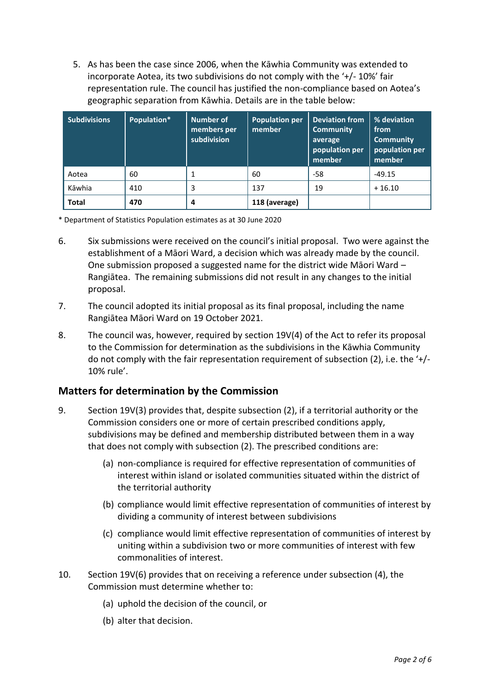5. As has been the case since 2006, when the Kāwhia Community was extended to incorporate Aotea, its two subdivisions do not comply with the '+/- 10%' fair representation rule. The council has justified the non-compliance based on Aotea's geographic separation from Kāwhia. Details are in the table below:

| <b>Subdivisions</b> | Population* | Number of<br>members per<br>subdivision | <b>Population per</b><br>member | <b>Deviation from</b><br><b>Community</b><br>average<br>population per<br>member | % deviation<br>from<br><b>Community</b><br>population per<br>member |
|---------------------|-------------|-----------------------------------------|---------------------------------|----------------------------------------------------------------------------------|---------------------------------------------------------------------|
| Aotea               | 60          |                                         | 60                              | -58                                                                              | -49.15                                                              |
| Kāwhia              | 410         | 3                                       | 137                             | 19                                                                               | $+16.10$                                                            |
| <b>Total</b>        | 470         | 4                                       | 118 (average)                   |                                                                                  |                                                                     |

\* Department of Statistics Population estimates as at 30 June 2020

- 6. Six submissions were received on the council's initial proposal. Two were against the establishment of a Māori Ward, a decision which was already made by the council. One submission proposed a suggested name for the district wide Māori Ward – Rangiātea. The remaining submissions did not result in any changes to the initial proposal.
- 7. The council adopted its initial proposal as its final proposal, including the name Rangiātea Māori Ward on 19 October 2021.
- 8. The council was, however, required by section 19V(4) of the Act to refer its proposal to the Commission for determination as the subdivisions in the Kāwhia Community do not comply with the fair representation requirement of subsection (2), i.e. the '+/- 10% rule'.

## **Matters for determination by the Commission**

- 9. Section 19V(3) provides that, despite subsection (2), if a territorial authority or the Commission considers one or more of certain prescribed conditions apply, subdivisions may be defined and membership distributed between them in a way that does not comply with subsection (2). The prescribed conditions are:
	- (a) non-compliance is required for effective representation of communities of interest within island or isolated communities situated within the district of the territorial authority
	- (b) compliance would limit effective representation of communities of interest by dividing a community of interest between subdivisions
	- (c) compliance would limit effective representation of communities of interest by uniting within a subdivision two or more communities of interest with few commonalities of interest.
- 10. Section 19V(6) provides that on receiving a reference under subsection (4), the Commission must determine whether to:
	- (a) uphold the decision of the council, or
	- (b) alter that decision.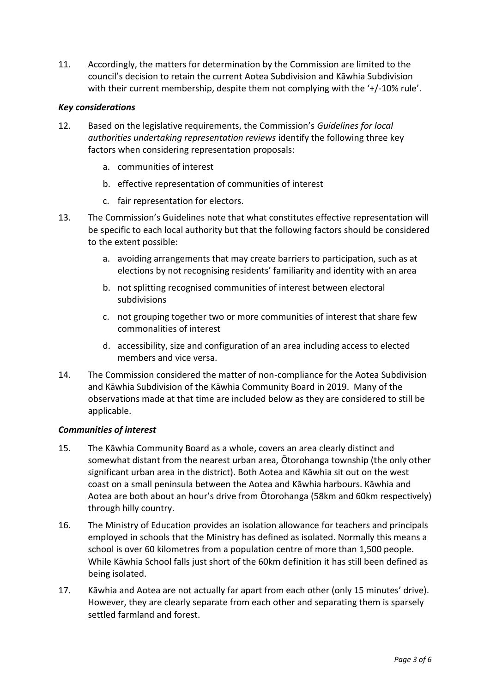11. Accordingly, the matters for determination by the Commission are limited to the council's decision to retain the current Aotea Subdivision and Kāwhia Subdivision with their current membership, despite them not complying with the '+/-10% rule'.

### *Key considerations*

- 12. Based on the legislative requirements, the Commission's *Guidelines for local authorities undertaking representation reviews* identify the following three key factors when considering representation proposals:
	- a. communities of interest
	- b. effective representation of communities of interest
	- c. fair representation for electors.
- 13. The Commission's Guidelines note that what constitutes effective representation will be specific to each local authority but that the following factors should be considered to the extent possible:
	- a. avoiding arrangements that may create barriers to participation, such as at elections by not recognising residents' familiarity and identity with an area
	- b. not splitting recognised communities of interest between electoral subdivisions
	- c. not grouping together two or more communities of interest that share few commonalities of interest
	- d. accessibility, size and configuration of an area including access to elected members and vice versa.
- 14. The Commission considered the matter of non-compliance for the Aotea Subdivision and Kāwhia Subdivision of the Kāwhia Community Board in 2019. Many of the observations made at that time are included below as they are considered to still be applicable.

#### *Communities of interest*

- 15. The Kāwhia Community Board as a whole, covers an area clearly distinct and somewhat distant from the nearest urban area, Ōtorohanga township (the only other significant urban area in the district). Both Aotea and Kāwhia sit out on the west coast on a small peninsula between the Aotea and Kāwhia harbours. Kāwhia and Aotea are both about an hour's drive from Ōtorohanga (58km and 60km respectively) through hilly country.
- 16. The Ministry of Education provides an isolation allowance for teachers and principals employed in schools that the Ministry has defined as isolated. Normally this means a school is over 60 kilometres from a population centre of more than 1,500 people. While Kāwhia School falls just short of the 60km definition it has still been defined as being isolated.
- 17. Kāwhia and Aotea are not actually far apart from each other (only 15 minutes' drive). However, they are clearly separate from each other and separating them is sparsely settled farmland and forest.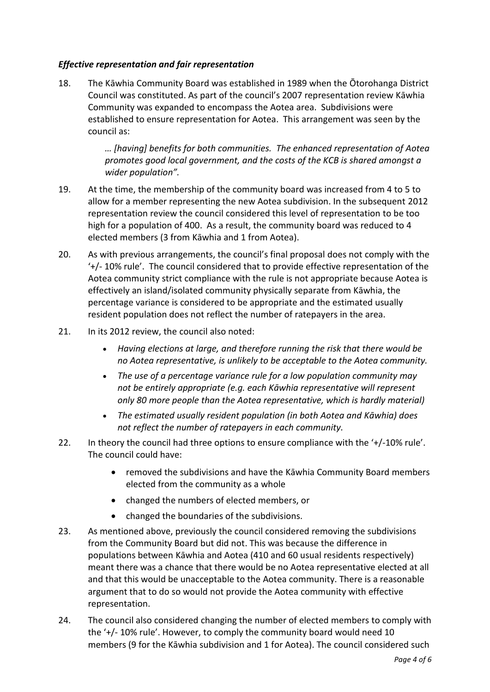### *Effective representation and fair representation*

18. The Kāwhia Community Board was established in 1989 when the Ōtorohanga District Council was constituted. As part of the council's 2007 representation review Kāwhia Community was expanded to encompass the Aotea area. Subdivisions were established to ensure representation for Aotea. This arrangement was seen by the council as:

> *… [having] benefits for both communities. The enhanced representation of Aotea promotes good local government, and the costs of the KCB is shared amongst a wider population".*

- 19. At the time, the membership of the community board was increased from 4 to 5 to allow for a member representing the new Aotea subdivision. In the subsequent 2012 representation review the council considered this level of representation to be too high for a population of 400. As a result, the community board was reduced to 4 elected members (3 from Kāwhia and 1 from Aotea).
- 20. As with previous arrangements, the council's final proposal does not comply with the '+/- 10% rule'. The council considered that to provide effective representation of the Aotea community strict compliance with the rule is not appropriate because Aotea is effectively an island/isolated community physically separate from Kāwhia, the percentage variance is considered to be appropriate and the estimated usually resident population does not reflect the number of ratepayers in the area.
- 21. In its 2012 review, the council also noted:
	- *Having elections at large, and therefore running the risk that there would be no Aotea representative, is unlikely to be acceptable to the Aotea community.*
	- *The use of a percentage variance rule for a low population community may not be entirely appropriate (e.g. each Kāwhia representative will represent only 80 more people than the Aotea representative, which is hardly material)*
	- *The estimated usually resident population (in both Aotea and Kāwhia) does not reflect the number of ratepayers in each community.*
- 22. In theory the council had three options to ensure compliance with the '+/-10% rule'. The council could have:
	- removed the subdivisions and have the Kāwhia Community Board members elected from the community as a whole
	- changed the numbers of elected members, or
	- changed the boundaries of the subdivisions.
- 23. As mentioned above, previously the council considered removing the subdivisions from the Community Board but did not. This was because the difference in populations between Kāwhia and Aotea (410 and 60 usual residents respectively) meant there was a chance that there would be no Aotea representative elected at all and that this would be unacceptable to the Aotea community. There is a reasonable argument that to do so would not provide the Aotea community with effective representation.
- 24. The council also considered changing the number of elected members to comply with the '+/- 10% rule'. However, to comply the community board would need 10 members (9 for the Kāwhia subdivision and 1 for Aotea). The council considered such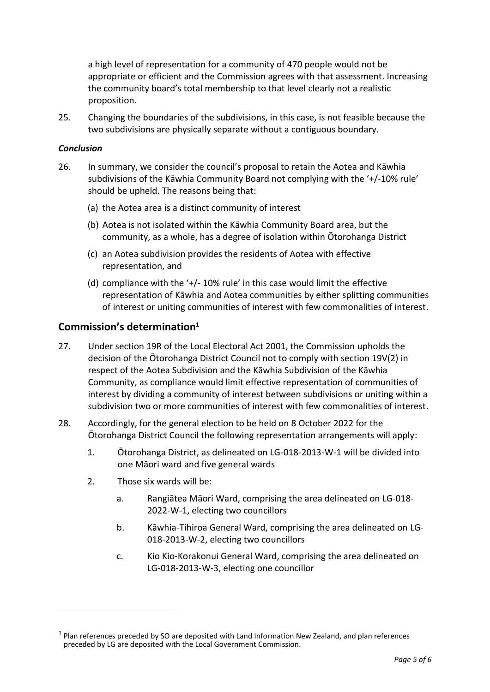a high level of representation for a community of 470 people would not be appropriate or efficient and the Commission agrees with that assessment. Increasing the community board's total membership to that level clearly not a realistic proposition.

25. Changing the boundaries of the subdivisions, in this case, is not feasible because the two subdivisions are physically separate without a contiguous boundary.

#### *Conclusion*

l

- 26. In summary, we consider the council's proposal to retain the Aotea and Kāwhia subdivisions of the Kāwhia Community Board not complying with the '+/-10% rule' should be upheld. The reasons being that:
	- (a) the Aotea area is a distinct community of interest
	- (b) Aotea is not isolated within the Kāwhia Community Board area, but the community, as a whole, has a degree of isolation within Ōtorohanga District
	- (c) an Aotea subdivision provides the residents of Aotea with effective representation, and
	- (d) compliance with the '+/- 10% rule' in this case would limit the effective representation of Kāwhia and Aotea communities by either splitting communities of interest or uniting communities of interest with few commonalities of interest.

### **Commission's determination<sup>1</sup>**

- 27. Under section 19R of the Local Electoral Act 2001, the Commission upholds the decision of the Ōtorohanga District Council not to comply with section 19V(2) in respect of the Aotea Subdivision and the Kāwhia Subdivision of the Kāwhia Community, as compliance would limit effective representation of communities of interest by dividing a community of interest between subdivisions or uniting within a subdivision two or more communities of interest with few commonalities of interest.
- 28. Accordingly, for the general election to be held on 8 October 2022 for the Ōtorohanga District Council the following representation arrangements will apply:
	- 1. Ōtorohanga District, as delineated on LG-018-2013-W-1 will be divided into one Māori ward and five general wards
	- 2. Those six wards will be:
		- a. Rangiātea Māori Ward, comprising the area delineated on LG-018- 2022-W-1, electing two councillors
		- b. Kāwhia-Tihiroa General Ward, comprising the area delineated on LG-018-2013-W-2, electing two councillors
		- c. Kio Kio-Korakonui General Ward, comprising the area delineated on LG-018-2013-W-3, electing one councillor

 $<sup>1</sup>$  Plan references preceded by SO are deposited with Land Information New Zealand, and plan references</sup> preceded by LG are deposited with the Local Government Commission.